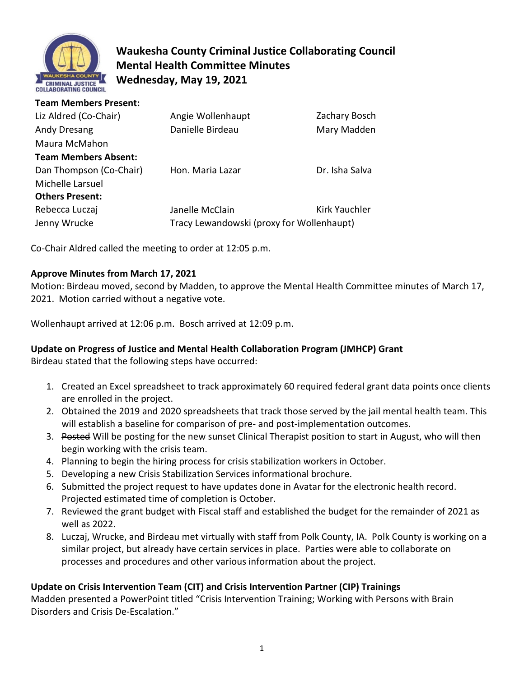

# **Waukesha County Criminal Justice Collaborating Council Mental Health Committee Minutes Wednesday, May 19, 2021**

| <b>Team Members Present:</b> |                                           |                |
|------------------------------|-------------------------------------------|----------------|
| Liz Aldred (Co-Chair)        | Angie Wollenhaupt                         | Zachary Bosch  |
| Andy Dresang                 | Danielle Birdeau                          | Mary Madden    |
| Maura McMahon                |                                           |                |
| <b>Team Members Absent:</b>  |                                           |                |
| Dan Thompson (Co-Chair)      | Hon. Maria Lazar                          | Dr. Isha Salva |
| Michelle Larsuel             |                                           |                |
| <b>Others Present:</b>       |                                           |                |
| Rebecca Luczaj               | Janelle McClain                           | Kirk Yauchler  |
| Jenny Wrucke                 | Tracy Lewandowski (proxy for Wollenhaupt) |                |

Co-Chair Aldred called the meeting to order at 12:05 p.m.

## **Approve Minutes from March 17, 2021**

Motion: Birdeau moved, second by Madden, to approve the Mental Health Committee minutes of March 17, 2021. Motion carried without a negative vote.

Wollenhaupt arrived at 12:06 p.m. Bosch arrived at 12:09 p.m.

## **Update on Progress of Justice and Mental Health Collaboration Program (JMHCP) Grant**

Birdeau stated that the following steps have occurred:

- 1. Created an Excel spreadsheet to track approximately 60 required federal grant data points once clients are enrolled in the project.
- 2. Obtained the 2019 and 2020 spreadsheets that track those served by the jail mental health team. This will establish a baseline for comparison of pre- and post-implementation outcomes.
- 3. Posted Will be posting for the new sunset Clinical Therapist position to start in August, who will then begin working with the crisis team.
- 4. Planning to begin the hiring process for crisis stabilization workers in October.
- 5. Developing a new Crisis Stabilization Services informational brochure.
- 6. Submitted the project request to have updates done in Avatar for the electronic health record. Projected estimated time of completion is October.
- 7. Reviewed the grant budget with Fiscal staff and established the budget for the remainder of 2021 as well as 2022.
- 8. Luczaj, Wrucke, and Birdeau met virtually with staff from Polk County, IA. Polk County is working on a similar project, but already have certain services in place. Parties were able to collaborate on processes and procedures and other various information about the project.

## **Update on Crisis Intervention Team (CIT) and Crisis Intervention Partner (CIP) Trainings**

Madden presented a PowerPoint titled "Crisis Intervention Training; Working with Persons with Brain Disorders and Crisis De-Escalation."